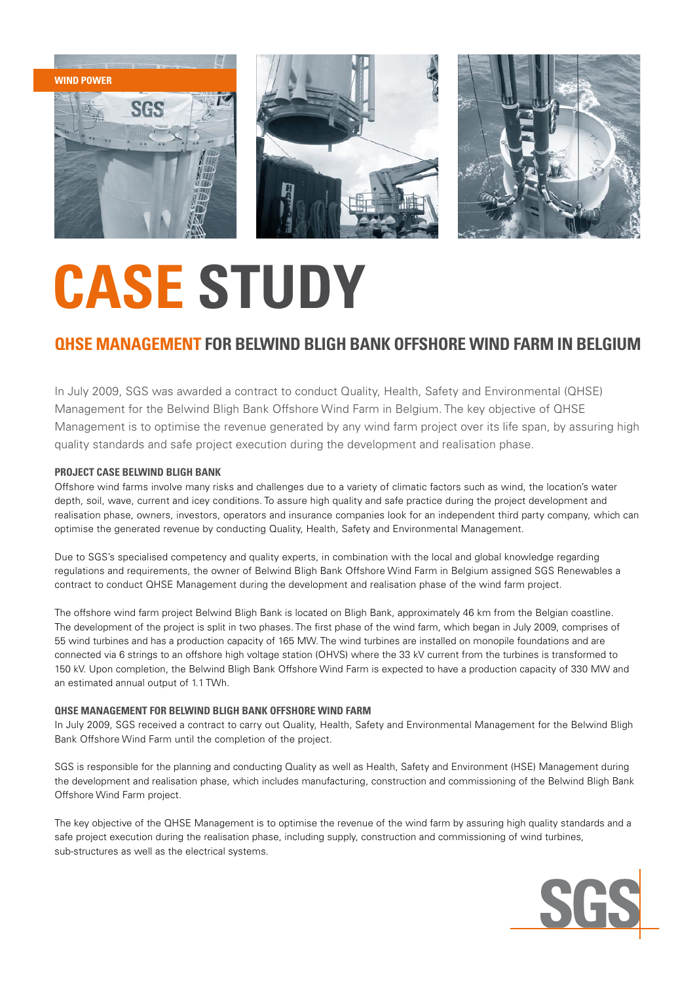

## **CASE STUDY**

### **QHSE Management for Belwind Bligh Bank Offshore Wind Farm in Belgium**

In July 2009, SGS was awarded a contract to conduct Quality, Health, Safety and Environmental (QHSE) Management for the Belwind Bligh Bank Offshore Wind Farm in Belgium. The key objective of QHSE Management is to optimise the revenue generated by any wind farm project over its life span, by assuring high quality standards and safe project execution during the development and realisation phase.

#### **Project case belwind bligh bank**

Offshore wind farms involve many risks and challenges due to a variety of climatic factors such as wind, the location's water depth, soil, wave, current and icey conditions. To assure high quality and safe practice during the project development and realisation phase, owners, investors, operators and insurance companies look for an independent third party company, which can optimise the generated revenue by conducting Quality, Health, Safety and Environmental Management.

Due to SGS's specialised competency and quality experts, in combination with the local and global knowledge regarding regulations and requirements, the owner of Belwind Bligh Bank Offshore Wind Farm in Belgium assigned SGS Renewables a contract to conduct QHSE Management during the development and realisation phase of the wind farm project.

The offshore wind farm project Belwind Bligh Bank is located on Bligh Bank, approximately 46 km from the Belgian coastline. The development of the project is split in two phases. The first phase of the wind farm, which began in July 2009, comprises of 55 wind turbines and has a production capacity of 165 MW. The wind turbines are installed on monopile foundations and are connected via 6 strings to an offshore high voltage station (OHVS) where the 33 kV current from the turbines is transformed to 150 kV. Upon completion, the Belwind Bligh Bank Offshore Wind Farm is expected to have a production capacity of 330 MW and an estimated annual output of 1.1 TWh.

#### **QHSE Management for Belwind Bligh Bank Offshore Wind Farm**

In July 2009, SGS received a contract to carry out Quality, Health, Safety and Environmental Management for the Belwind Bligh Bank Offshore Wind Farm until the completion of the project.

SGS is responsible for the planning and conducting Quality as well as Health, Safety and Environment (HSE) Management during the development and realisation phase, which includes manufacturing, construction and commissioning of the Belwind Bligh Bank Offshore Wind Farm project.

The key objective of the QHSE Management is to optimise the revenue of the wind farm by assuring high quality standards and a safe project execution during the realisation phase, including supply, construction and commissioning of wind turbines, sub-structures as well as the electrical systems.